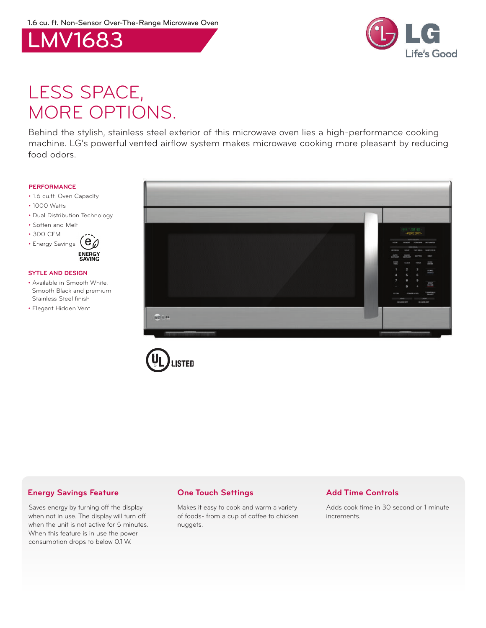



# LESS SPACE, MORE OPTIONS.

Behind the stylish, stainless steel exterior of this microwave oven lies a high-performance cooking machine. LG's powerful vented airflow system makes microwave cooking more pleasant by reducing food odors.

#### **PERFORMANCE**

- 1.6 cu.ft. Oven Capacity
- 1000 Watts
- Dual Distribution Technology
- Soften and Melt
- 300 CFM



### **SYTLE AND DESIGN**

- Available in Smooth White, Smooth Black and premium Stainless Steel finish
- Elegant Hidden Vent





## **Energy Savings Feature One Touch Settings Add Time Controls**

Saves energy by turning off the display when not in use. The display will turn off when the unit is not active for 5 minutes. When this feature is in use the power consumption drops to below 0.1 W.

Makes it easy to cook and warm a variety of foods- from a cup of coffee to chicken nuggets.

Adds cook time in 30 second or 1 minute increments.